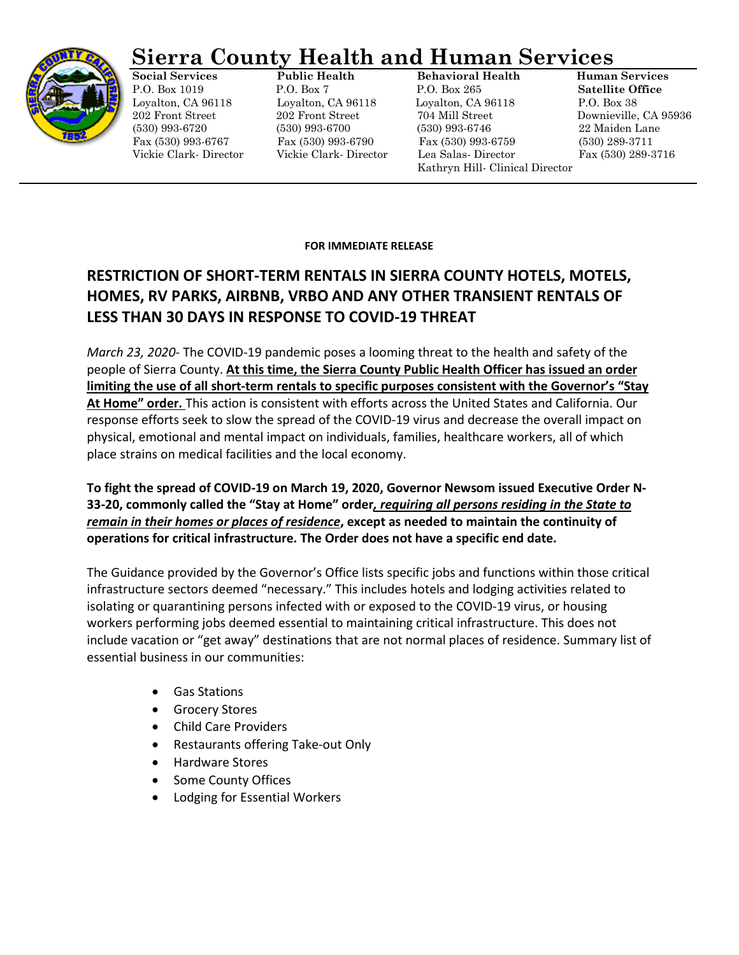

## **Sierra County Health and Human Services**

**Social Services Public Health Behavioral Health Human Services** P.O. Box 1019 P.O. Box 7 P.O. Box 265 **Satellite Office** Loyalton, CA 96118 Loyalton, CA 96118 Loyalton, CA 96118 P.O. Box 38 202 Front Street 202 Front Street 704 Mill Street Downieville, CA 95936 (530) 993-6720 (530) 993-6700 (530) 993-6746 22 Maiden Lane Fax (530) 993-6767 Fax (530) 993-6790 Fax (530) 993-6759 (530) 289-3711 Vickie Clark- Director Vickie Clark- Director Lea Salas- Director Fax (530) 289-3716 Kathryn Hill- Clinical Director

## **FOR IMMEDIATE RELEASE**

## **RESTRICTION OF SHORT-TERM RENTALS IN SIERRA COUNTY HOTELS, MOTELS, HOMES, RV PARKS, AIRBNB, VRBO AND ANY OTHER TRANSIENT RENTALS OF LESS THAN 30 DAYS IN RESPONSE TO COVID-19 THREAT**

*March 23, 2020*- The COVID-19 pandemic poses a looming threat to the health and safety of the people of Sierra County. **At this time, the Sierra County Public Health Officer has issued an order limiting the use of all short-term rentals to specific purposes consistent with the Governor's "Stay At Home" order.** This action is consistent with efforts across the United States and California. Our response efforts seek to slow the spread of the COVID-19 virus and decrease the overall impact on physical, emotional and mental impact on individuals, families, healthcare workers, all of which place strains on medical facilities and the local economy.

**To fight the spread of COVID-19 on March 19, 2020, Governor Newsom issued Executive Order N-33-20, commonly called the "Stay at Home" order***, requiring all persons residing in the State to remain in their homes or places of residence***, except as needed to maintain the continuity of operations for critical infrastructure. The Order does not have a specific end date.** 

The Guidance provided by the Governor's Office lists specific jobs and functions within those critical infrastructure sectors deemed "necessary." This includes hotels and lodging activities related to isolating or quarantining persons infected with or exposed to the COVID-19 virus, or housing workers performing jobs deemed essential to maintaining critical infrastructure. This does not include vacation or "get away" destinations that are not normal places of residence. Summary list of essential business in our communities:

- Gas Stations
- Grocery Stores
- Child Care Providers
- Restaurants offering Take-out Only
- Hardware Stores
- Some County Offices
- Lodging for Essential Workers